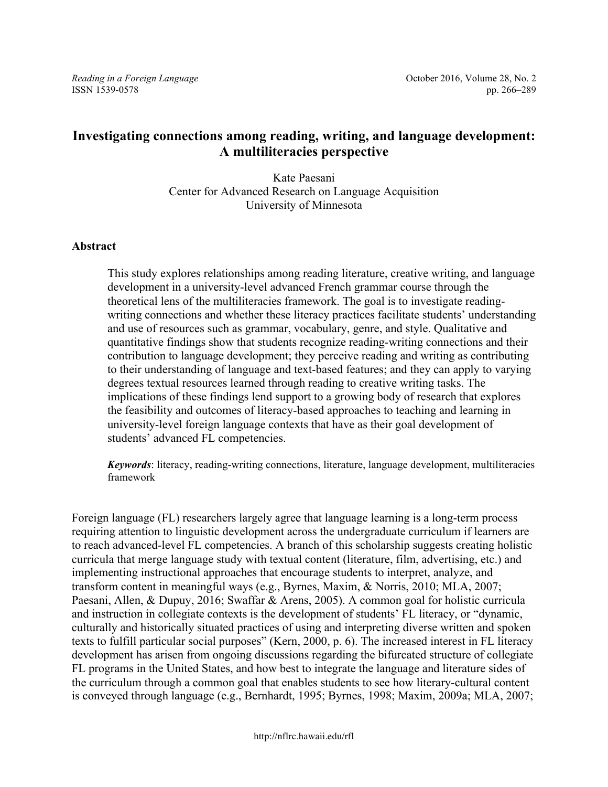# **Investigating connections among reading, writing, and language development: A multiliteracies perspective**

Kate Paesani Center for Advanced Research on Language Acquisition University of Minnesota

#### **Abstract**

This study explores relationships among reading literature, creative writing, and language development in a university-level advanced French grammar course through the theoretical lens of the multiliteracies framework. The goal is to investigate readingwriting connections and whether these literacy practices facilitate students' understanding and use of resources such as grammar, vocabulary, genre, and style. Qualitative and quantitative findings show that students recognize reading-writing connections and their contribution to language development; they perceive reading and writing as contributing to their understanding of language and text-based features; and they can apply to varying degrees textual resources learned through reading to creative writing tasks. The implications of these findings lend support to a growing body of research that explores the feasibility and outcomes of literacy-based approaches to teaching and learning in university-level foreign language contexts that have as their goal development of students' advanced FL competencies.

*Keywords*: literacy, reading-writing connections, literature, language development, multiliteracies framework

Foreign language (FL) researchers largely agree that language learning is a long-term process requiring attention to linguistic development across the undergraduate curriculum if learners are to reach advanced-level FL competencies. A branch of this scholarship suggests creating holistic curricula that merge language study with textual content (literature, film, advertising, etc.) and implementing instructional approaches that encourage students to interpret, analyze, and transform content in meaningful ways (e.g., Byrnes, Maxim, & Norris, 2010; MLA, 2007; Paesani, Allen, & Dupuy, 2016; Swaffar & Arens, 2005). A common goal for holistic curricula and instruction in collegiate contexts is the development of students' FL literacy, or "dynamic, culturally and historically situated practices of using and interpreting diverse written and spoken texts to fulfill particular social purposes" (Kern, 2000, p. 6). The increased interest in FL literacy development has arisen from ongoing discussions regarding the bifurcated structure of collegiate FL programs in the United States, and how best to integrate the language and literature sides of the curriculum through a common goal that enables students to see how literary-cultural content is conveyed through language (e.g., Bernhardt, 1995; Byrnes, 1998; Maxim, 2009a; MLA, 2007;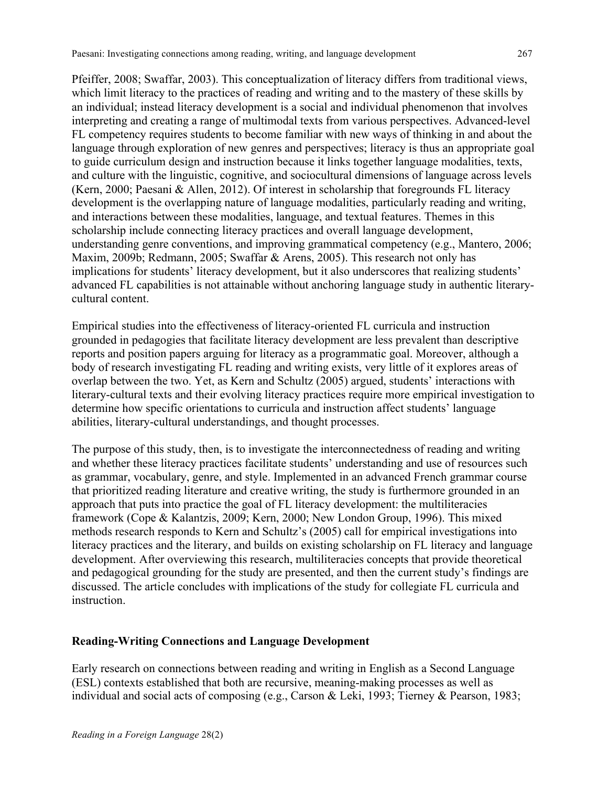Pfeiffer, 2008; Swaffar, 2003). This conceptualization of literacy differs from traditional views, which limit literacy to the practices of reading and writing and to the mastery of these skills by an individual; instead literacy development is a social and individual phenomenon that involves interpreting and creating a range of multimodal texts from various perspectives. Advanced-level FL competency requires students to become familiar with new ways of thinking in and about the language through exploration of new genres and perspectives; literacy is thus an appropriate goal to guide curriculum design and instruction because it links together language modalities, texts, and culture with the linguistic, cognitive, and sociocultural dimensions of language across levels (Kern, 2000; Paesani & Allen, 2012). Of interest in scholarship that foregrounds FL literacy development is the overlapping nature of language modalities, particularly reading and writing, and interactions between these modalities, language, and textual features. Themes in this scholarship include connecting literacy practices and overall language development, understanding genre conventions, and improving grammatical competency (e.g., Mantero, 2006; Maxim, 2009b; Redmann, 2005; Swaffar & Arens, 2005). This research not only has implications for students' literacy development, but it also underscores that realizing students' advanced FL capabilities is not attainable without anchoring language study in authentic literarycultural content.

Empirical studies into the effectiveness of literacy-oriented FL curricula and instruction grounded in pedagogies that facilitate literacy development are less prevalent than descriptive reports and position papers arguing for literacy as a programmatic goal. Moreover, although a body of research investigating FL reading and writing exists, very little of it explores areas of overlap between the two. Yet, as Kern and Schultz (2005) argued, students' interactions with literary-cultural texts and their evolving literacy practices require more empirical investigation to determine how specific orientations to curricula and instruction affect students' language abilities, literary-cultural understandings, and thought processes.

The purpose of this study, then, is to investigate the interconnectedness of reading and writing and whether these literacy practices facilitate students' understanding and use of resources such as grammar, vocabulary, genre, and style. Implemented in an advanced French grammar course that prioritized reading literature and creative writing, the study is furthermore grounded in an approach that puts into practice the goal of FL literacy development: the multiliteracies framework (Cope & Kalantzis, 2009; Kern, 2000; New London Group, 1996). This mixed methods research responds to Kern and Schultz's (2005) call for empirical investigations into literacy practices and the literary, and builds on existing scholarship on FL literacy and language development. After overviewing this research, multiliteracies concepts that provide theoretical and pedagogical grounding for the study are presented, and then the current study's findings are discussed. The article concludes with implications of the study for collegiate FL curricula and instruction.

## **Reading-Writing Connections and Language Development**

Early research on connections between reading and writing in English as a Second Language (ESL) contexts established that both are recursive, meaning-making processes as well as individual and social acts of composing (e.g., Carson & Leki, 1993; Tierney & Pearson, 1983;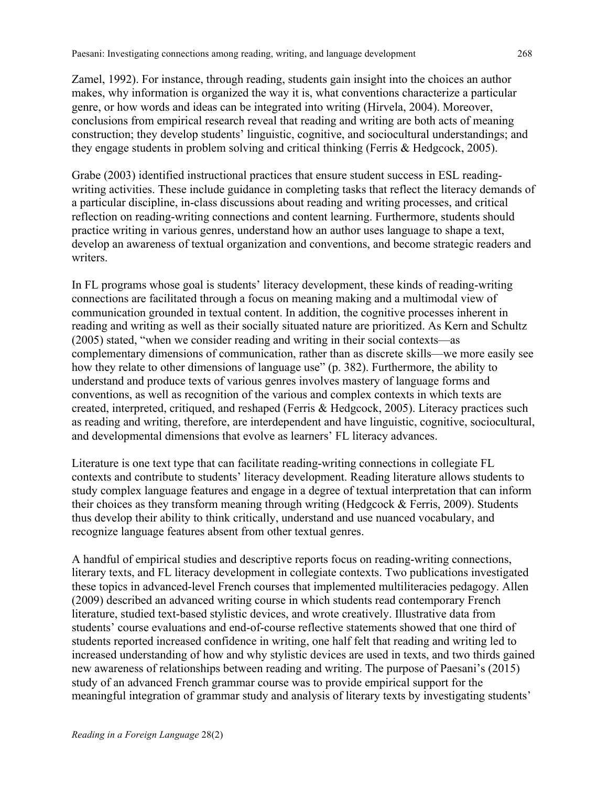Zamel, 1992). For instance, through reading, students gain insight into the choices an author makes, why information is organized the way it is, what conventions characterize a particular genre, or how words and ideas can be integrated into writing (Hirvela, 2004). Moreover, conclusions from empirical research reveal that reading and writing are both acts of meaning construction; they develop students' linguistic, cognitive, and sociocultural understandings; and they engage students in problem solving and critical thinking (Ferris & Hedgcock, 2005).

Grabe (2003) identified instructional practices that ensure student success in ESL readingwriting activities. These include guidance in completing tasks that reflect the literacy demands of a particular discipline, in-class discussions about reading and writing processes, and critical reflection on reading-writing connections and content learning. Furthermore, students should practice writing in various genres, understand how an author uses language to shape a text, develop an awareness of textual organization and conventions, and become strategic readers and writers.

In FL programs whose goal is students' literacy development, these kinds of reading-writing connections are facilitated through a focus on meaning making and a multimodal view of communication grounded in textual content. In addition, the cognitive processes inherent in reading and writing as well as their socially situated nature are prioritized. As Kern and Schultz (2005) stated, "when we consider reading and writing in their social contexts—as complementary dimensions of communication, rather than as discrete skills—we more easily see how they relate to other dimensions of language use" (p. 382). Furthermore, the ability to understand and produce texts of various genres involves mastery of language forms and conventions, as well as recognition of the various and complex contexts in which texts are created, interpreted, critiqued, and reshaped (Ferris & Hedgcock, 2005). Literacy practices such as reading and writing, therefore, are interdependent and have linguistic, cognitive, sociocultural, and developmental dimensions that evolve as learners' FL literacy advances.

Literature is one text type that can facilitate reading-writing connections in collegiate FL contexts and contribute to students' literacy development. Reading literature allows students to study complex language features and engage in a degree of textual interpretation that can inform their choices as they transform meaning through writing (Hedgcock & Ferris, 2009). Students thus develop their ability to think critically, understand and use nuanced vocabulary, and recognize language features absent from other textual genres.

A handful of empirical studies and descriptive reports focus on reading-writing connections, literary texts, and FL literacy development in collegiate contexts. Two publications investigated these topics in advanced-level French courses that implemented multiliteracies pedagogy. Allen (2009) described an advanced writing course in which students read contemporary French literature, studied text-based stylistic devices, and wrote creatively. Illustrative data from students' course evaluations and end-of-course reflective statements showed that one third of students reported increased confidence in writing, one half felt that reading and writing led to increased understanding of how and why stylistic devices are used in texts, and two thirds gained new awareness of relationships between reading and writing. The purpose of Paesani's (2015) study of an advanced French grammar course was to provide empirical support for the meaningful integration of grammar study and analysis of literary texts by investigating students'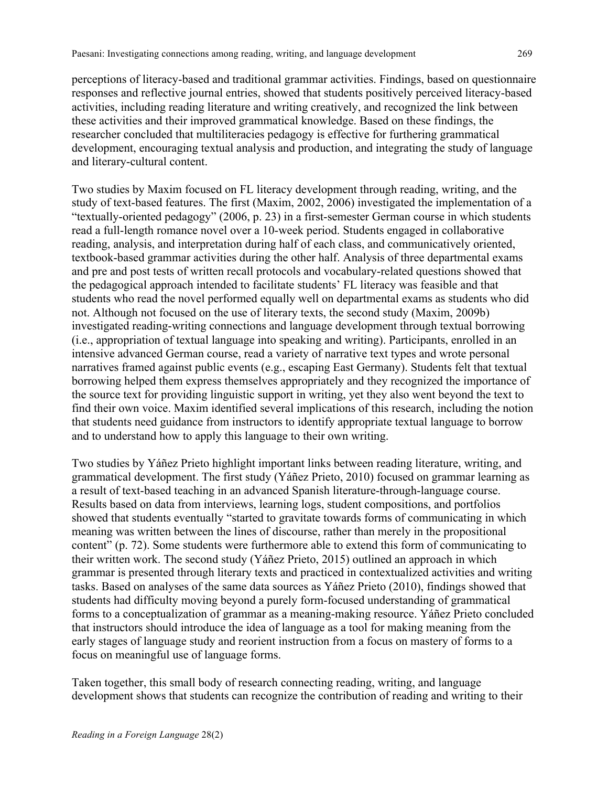perceptions of literacy-based and traditional grammar activities. Findings, based on questionnaire responses and reflective journal entries, showed that students positively perceived literacy-based activities, including reading literature and writing creatively, and recognized the link between these activities and their improved grammatical knowledge. Based on these findings, the researcher concluded that multiliteracies pedagogy is effective for furthering grammatical development, encouraging textual analysis and production, and integrating the study of language and literary-cultural content.

Two studies by Maxim focused on FL literacy development through reading, writing, and the study of text-based features. The first (Maxim, 2002, 2006) investigated the implementation of a "textually-oriented pedagogy" (2006, p. 23) in a first-semester German course in which students read a full-length romance novel over a 10-week period. Students engaged in collaborative reading, analysis, and interpretation during half of each class, and communicatively oriented, textbook-based grammar activities during the other half. Analysis of three departmental exams and pre and post tests of written recall protocols and vocabulary-related questions showed that the pedagogical approach intended to facilitate students' FL literacy was feasible and that students who read the novel performed equally well on departmental exams as students who did not. Although not focused on the use of literary texts, the second study (Maxim, 2009b) investigated reading-writing connections and language development through textual borrowing (i.e., appropriation of textual language into speaking and writing). Participants, enrolled in an intensive advanced German course, read a variety of narrative text types and wrote personal narratives framed against public events (e.g., escaping East Germany). Students felt that textual borrowing helped them express themselves appropriately and they recognized the importance of the source text for providing linguistic support in writing, yet they also went beyond the text to find their own voice. Maxim identified several implications of this research, including the notion that students need guidance from instructors to identify appropriate textual language to borrow and to understand how to apply this language to their own writing.

Two studies by Yáñez Prieto highlight important links between reading literature, writing, and grammatical development. The first study (Yáñez Prieto, 2010) focused on grammar learning as a result of text-based teaching in an advanced Spanish literature-through-language course. Results based on data from interviews, learning logs, student compositions, and portfolios showed that students eventually "started to gravitate towards forms of communicating in which meaning was written between the lines of discourse, rather than merely in the propositional content" (p. 72). Some students were furthermore able to extend this form of communicating to their written work. The second study (Yáñez Prieto, 2015) outlined an approach in which grammar is presented through literary texts and practiced in contextualized activities and writing tasks. Based on analyses of the same data sources as Yáñez Prieto (2010), findings showed that students had difficulty moving beyond a purely form-focused understanding of grammatical forms to a conceptualization of grammar as a meaning-making resource. Yáñez Prieto concluded that instructors should introduce the idea of language as a tool for making meaning from the early stages of language study and reorient instruction from a focus on mastery of forms to a focus on meaningful use of language forms.

Taken together, this small body of research connecting reading, writing, and language development shows that students can recognize the contribution of reading and writing to their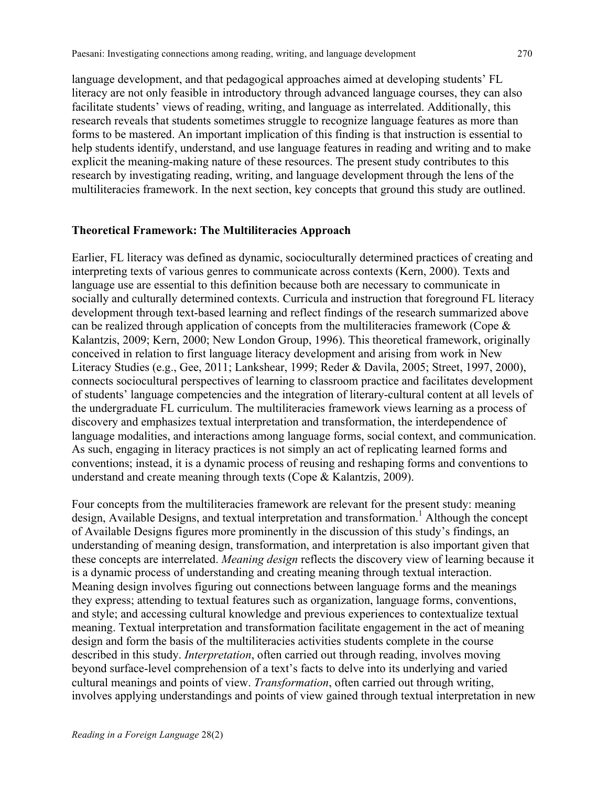language development, and that pedagogical approaches aimed at developing students' FL literacy are not only feasible in introductory through advanced language courses, they can also facilitate students' views of reading, writing, and language as interrelated. Additionally, this research reveals that students sometimes struggle to recognize language features as more than forms to be mastered. An important implication of this finding is that instruction is essential to help students identify, understand, and use language features in reading and writing and to make explicit the meaning-making nature of these resources. The present study contributes to this research by investigating reading, writing, and language development through the lens of the multiliteracies framework. In the next section, key concepts that ground this study are outlined.

#### **Theoretical Framework: The Multiliteracies Approach**

Earlier, FL literacy was defined as dynamic, socioculturally determined practices of creating and interpreting texts of various genres to communicate across contexts (Kern, 2000). Texts and language use are essential to this definition because both are necessary to communicate in socially and culturally determined contexts. Curricula and instruction that foreground FL literacy development through text-based learning and reflect findings of the research summarized above can be realized through application of concepts from the multiliteracies framework (Cope & Kalantzis, 2009; Kern, 2000; New London Group, 1996). This theoretical framework, originally conceived in relation to first language literacy development and arising from work in New Literacy Studies (e.g., Gee, 2011; Lankshear, 1999; Reder & Davila, 2005; Street, 1997, 2000), connects sociocultural perspectives of learning to classroom practice and facilitates development of students' language competencies and the integration of literary-cultural content at all levels of the undergraduate FL curriculum. The multiliteracies framework views learning as a process of discovery and emphasizes textual interpretation and transformation, the interdependence of language modalities, and interactions among language forms, social context, and communication. As such, engaging in literacy practices is not simply an act of replicating learned forms and conventions; instead, it is a dynamic process of reusing and reshaping forms and conventions to understand and create meaning through texts (Cope & Kalantzis, 2009).

Four concepts from the multiliteracies framework are relevant for the present study: meaning design, Available Designs, and textual interpretation and transformation.<sup>1</sup> Although the concept of Available Designs figures more prominently in the discussion of this study's findings, an understanding of meaning design, transformation, and interpretation is also important given that these concepts are interrelated. *Meaning design* reflects the discovery view of learning because it is a dynamic process of understanding and creating meaning through textual interaction. Meaning design involves figuring out connections between language forms and the meanings they express; attending to textual features such as organization, language forms, conventions, and style; and accessing cultural knowledge and previous experiences to contextualize textual meaning. Textual interpretation and transformation facilitate engagement in the act of meaning design and form the basis of the multiliteracies activities students complete in the course described in this study. *Interpretation*, often carried out through reading, involves moving beyond surface-level comprehension of a text's facts to delve into its underlying and varied cultural meanings and points of view. *Transformation*, often carried out through writing, involves applying understandings and points of view gained through textual interpretation in new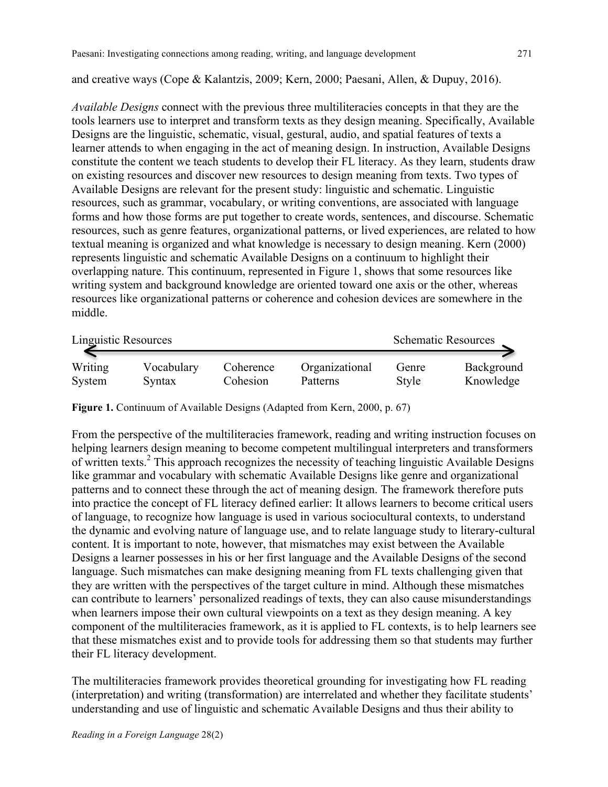and creative ways (Cope & Kalantzis, 2009; Kern, 2000; Paesani, Allen, & Dupuy, 2016).

*Available Designs* connect with the previous three multiliteracies concepts in that they are the tools learners use to interpret and transform texts as they design meaning. Specifically, Available Designs are the linguistic, schematic, visual, gestural, audio, and spatial features of texts a learner attends to when engaging in the act of meaning design. In instruction, Available Designs constitute the content we teach students to develop their FL literacy. As they learn, students draw on existing resources and discover new resources to design meaning from texts. Two types of Available Designs are relevant for the present study: linguistic and schematic. Linguistic resources, such as grammar, vocabulary, or writing conventions, are associated with language forms and how those forms are put together to create words, sentences, and discourse. Schematic resources, such as genre features, organizational patterns, or lived experiences, are related to how textual meaning is organized and what knowledge is necessary to design meaning. Kern (2000) represents linguistic and schematic Available Designs on a continuum to highlight their overlapping nature. This continuum, represented in Figure 1, shows that some resources like writing system and background knowledge are oriented toward one axis or the other, whereas resources like organizational patterns or coherence and cohesion devices are somewhere in the middle.

| Linguistic Resources |            | <b>Schematic Resources</b> |                |       |            |
|----------------------|------------|----------------------------|----------------|-------|------------|
| Writing              | Vocabulary | Coherence                  | Organizational | Genre | Background |
| System               | Syntax     | Cohesion                   | Patterns       | Style | Knowledge  |

**Figure 1.** Continuum of Available Designs (Adapted from Kern, 2000, p. 67)

From the perspective of the multiliteracies framework, reading and writing instruction focuses on helping learners design meaning to become competent multilingual interpreters and transformers of written texts.2 This approach recognizes the necessity of teaching linguistic Available Designs like grammar and vocabulary with schematic Available Designs like genre and organizational patterns and to connect these through the act of meaning design. The framework therefore puts into practice the concept of FL literacy defined earlier: It allows learners to become critical users of language, to recognize how language is used in various sociocultural contexts, to understand the dynamic and evolving nature of language use, and to relate language study to literary-cultural content. It is important to note, however, that mismatches may exist between the Available Designs a learner possesses in his or her first language and the Available Designs of the second language. Such mismatches can make designing meaning from FL texts challenging given that they are written with the perspectives of the target culture in mind. Although these mismatches can contribute to learners' personalized readings of texts, they can also cause misunderstandings when learners impose their own cultural viewpoints on a text as they design meaning. A key component of the multiliteracies framework, as it is applied to FL contexts, is to help learners see that these mismatches exist and to provide tools for addressing them so that students may further their FL literacy development.

The multiliteracies framework provides theoretical grounding for investigating how FL reading (interpretation) and writing (transformation) are interrelated and whether they facilitate students' understanding and use of linguistic and schematic Available Designs and thus their ability to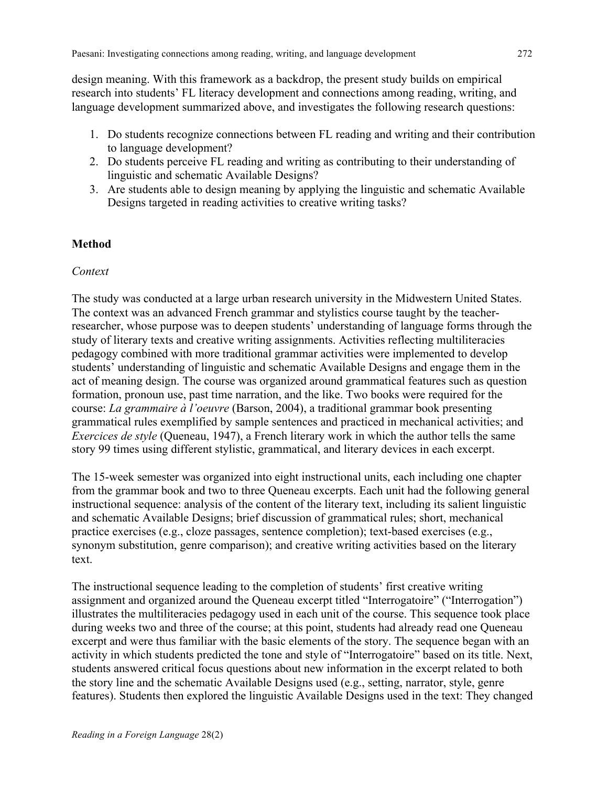design meaning. With this framework as a backdrop, the present study builds on empirical research into students' FL literacy development and connections among reading, writing, and language development summarized above, and investigates the following research questions:

- 1. Do students recognize connections between FL reading and writing and their contribution to language development?
- 2. Do students perceive FL reading and writing as contributing to their understanding of linguistic and schematic Available Designs?
- 3. Are students able to design meaning by applying the linguistic and schematic Available Designs targeted in reading activities to creative writing tasks?

# **Method**

## *Context*

The study was conducted at a large urban research university in the Midwestern United States. The context was an advanced French grammar and stylistics course taught by the teacherresearcher, whose purpose was to deepen students' understanding of language forms through the study of literary texts and creative writing assignments. Activities reflecting multiliteracies pedagogy combined with more traditional grammar activities were implemented to develop students' understanding of linguistic and schematic Available Designs and engage them in the act of meaning design. The course was organized around grammatical features such as question formation, pronoun use, past time narration, and the like. Two books were required for the course: *La grammaire à l'oeuvre* (Barson, 2004), a traditional grammar book presenting grammatical rules exemplified by sample sentences and practiced in mechanical activities; and *Exercices de style* (Queneau, 1947), a French literary work in which the author tells the same story 99 times using different stylistic, grammatical, and literary devices in each excerpt.

The 15-week semester was organized into eight instructional units, each including one chapter from the grammar book and two to three Queneau excerpts. Each unit had the following general instructional sequence: analysis of the content of the literary text, including its salient linguistic and schematic Available Designs; brief discussion of grammatical rules; short, mechanical practice exercises (e.g., cloze passages, sentence completion); text-based exercises (e.g., synonym substitution, genre comparison); and creative writing activities based on the literary text.

The instructional sequence leading to the completion of students' first creative writing assignment and organized around the Queneau excerpt titled "Interrogatoire" ("Interrogation") illustrates the multiliteracies pedagogy used in each unit of the course. This sequence took place during weeks two and three of the course; at this point, students had already read one Queneau excerpt and were thus familiar with the basic elements of the story. The sequence began with an activity in which students predicted the tone and style of "Interrogatoire" based on its title. Next, students answered critical focus questions about new information in the excerpt related to both the story line and the schematic Available Designs used (e.g., setting, narrator, style, genre features). Students then explored the linguistic Available Designs used in the text: They changed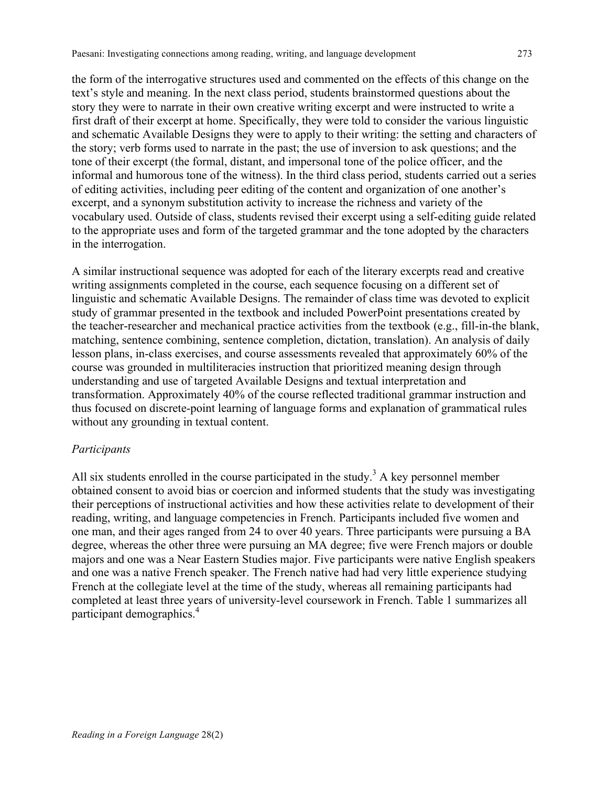the form of the interrogative structures used and commented on the effects of this change on the text's style and meaning. In the next class period, students brainstormed questions about the story they were to narrate in their own creative writing excerpt and were instructed to write a first draft of their excerpt at home. Specifically, they were told to consider the various linguistic and schematic Available Designs they were to apply to their writing: the setting and characters of the story; verb forms used to narrate in the past; the use of inversion to ask questions; and the tone of their excerpt (the formal, distant, and impersonal tone of the police officer, and the informal and humorous tone of the witness). In the third class period, students carried out a series of editing activities, including peer editing of the content and organization of one another's excerpt, and a synonym substitution activity to increase the richness and variety of the vocabulary used. Outside of class, students revised their excerpt using a self-editing guide related to the appropriate uses and form of the targeted grammar and the tone adopted by the characters in the interrogation.

A similar instructional sequence was adopted for each of the literary excerpts read and creative writing assignments completed in the course, each sequence focusing on a different set of linguistic and schematic Available Designs. The remainder of class time was devoted to explicit study of grammar presented in the textbook and included PowerPoint presentations created by the teacher-researcher and mechanical practice activities from the textbook (e.g., fill-in-the blank, matching, sentence combining, sentence completion, dictation, translation). An analysis of daily lesson plans, in-class exercises, and course assessments revealed that approximately 60% of the course was grounded in multiliteracies instruction that prioritized meaning design through understanding and use of targeted Available Designs and textual interpretation and transformation. Approximately 40% of the course reflected traditional grammar instruction and thus focused on discrete-point learning of language forms and explanation of grammatical rules without any grounding in textual content.

#### *Participants*

All six students enrolled in the course participated in the study.<sup>3</sup> A key personnel member obtained consent to avoid bias or coercion and informed students that the study was investigating their perceptions of instructional activities and how these activities relate to development of their reading, writing, and language competencies in French. Participants included five women and one man, and their ages ranged from 24 to over 40 years. Three participants were pursuing a BA degree, whereas the other three were pursuing an MA degree; five were French majors or double majors and one was a Near Eastern Studies major. Five participants were native English speakers and one was a native French speaker. The French native had had very little experience studying French at the collegiate level at the time of the study, whereas all remaining participants had completed at least three years of university-level coursework in French. Table 1 summarizes all participant demographics.4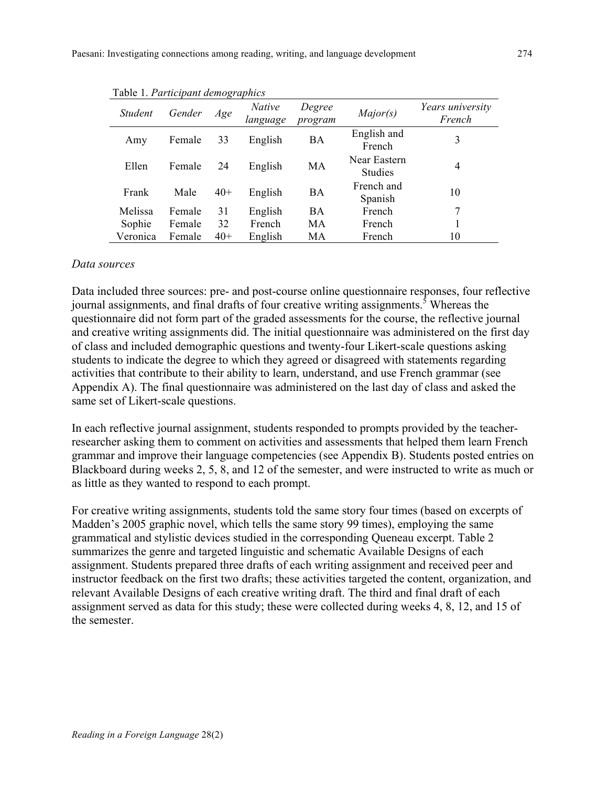| <i>Student</i> | Gender | Age   | <i>Native</i><br>language | Degree<br>program | Major(s)                       | Years university<br>French |
|----------------|--------|-------|---------------------------|-------------------|--------------------------------|----------------------------|
| Amy            | Female | 33    | English                   | BA                | English and<br>French          | 3                          |
| Ellen          | Female | 24    | English                   | MA                | Near Eastern<br><b>Studies</b> | 4                          |
| Frank          | Male   | $40+$ | English                   | ВA                | French and<br>Spanish          | 10                         |
| Melissa        | Female | 31    | English                   | <b>BA</b>         | French                         | 7                          |
| Sophie         | Female | 32    | French                    | MA                | French                         |                            |
| Veronica       | Female | $40+$ | English                   | MA                | French                         | 10                         |

Table 1. *Participant demographics*

#### *Data sources*

Data included three sources: pre- and post-course online questionnaire responses, four reflective journal assignments, and final drafts of four creative writing assignments.<sup>5</sup> Whereas the questionnaire did not form part of the graded assessments for the course, the reflective journal and creative writing assignments did. The initial questionnaire was administered on the first day of class and included demographic questions and twenty-four Likert-scale questions asking students to indicate the degree to which they agreed or disagreed with statements regarding activities that contribute to their ability to learn, understand, and use French grammar (see Appendix A). The final questionnaire was administered on the last day of class and asked the same set of Likert-scale questions.

In each reflective journal assignment, students responded to prompts provided by the teacherresearcher asking them to comment on activities and assessments that helped them learn French grammar and improve their language competencies (see Appendix B). Students posted entries on Blackboard during weeks 2, 5, 8, and 12 of the semester, and were instructed to write as much or as little as they wanted to respond to each prompt.

For creative writing assignments, students told the same story four times (based on excerpts of Madden's 2005 graphic novel, which tells the same story 99 times), employing the same grammatical and stylistic devices studied in the corresponding Queneau excerpt. Table 2 summarizes the genre and targeted linguistic and schematic Available Designs of each assignment. Students prepared three drafts of each writing assignment and received peer and instructor feedback on the first two drafts; these activities targeted the content, organization, and relevant Available Designs of each creative writing draft. The third and final draft of each assignment served as data for this study; these were collected during weeks 4, 8, 12, and 15 of the semester.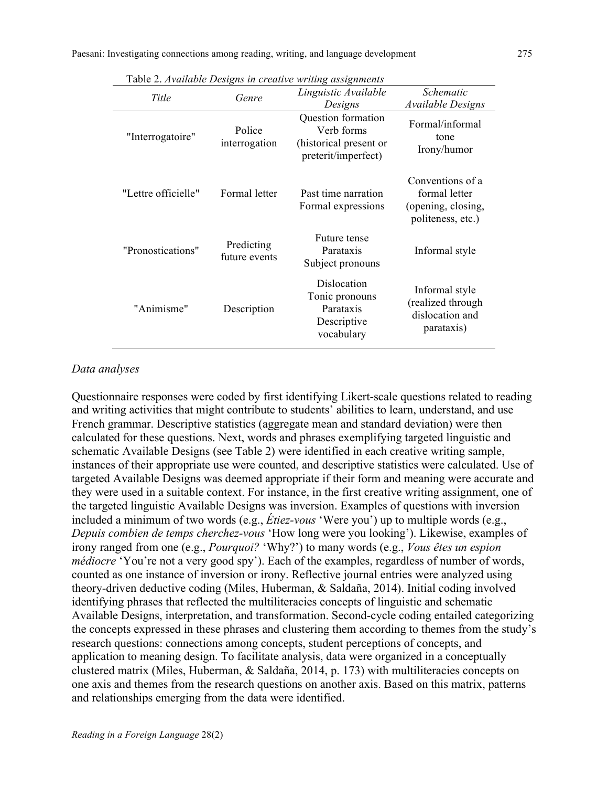|                     |                             | Tuoto 2. ITvanadio Dosigns in creanve maing assignments<br>Linguistic Available   | Schematic                                                                    |
|---------------------|-----------------------------|-----------------------------------------------------------------------------------|------------------------------------------------------------------------------|
| Title               | Genre                       | Designs                                                                           | Available Designs                                                            |
| "Interrogatoire"    | Police<br>interrogation     | Question formation<br>Verb forms<br>(historical present or<br>preterit/imperfect) | Formal/informal<br>tone<br>Irony/humor                                       |
| "Lettre officielle" | Formal letter               | Past time narration<br>Formal expressions                                         | Conventions of a<br>formal letter<br>(opening, closing,<br>politeness, etc.) |
| "Pronostications"   | Predicting<br>future events | Future tense<br>Parataxis<br>Subject pronouns                                     | Informal style                                                               |
| "Animisme"          | Description                 | Dislocation<br>Tonic pronouns<br>Parataxis<br>Descriptive<br>vocabulary           | Informal style<br>(realized through<br>dislocation and<br>parataxis)         |

Table 2. *Available Designs in creative writing assignments*

### *Data analyses*

Questionnaire responses were coded by first identifying Likert-scale questions related to reading and writing activities that might contribute to students' abilities to learn, understand, and use French grammar. Descriptive statistics (aggregate mean and standard deviation) were then calculated for these questions. Next, words and phrases exemplifying targeted linguistic and schematic Available Designs (see Table 2) were identified in each creative writing sample, instances of their appropriate use were counted, and descriptive statistics were calculated. Use of targeted Available Designs was deemed appropriate if their form and meaning were accurate and they were used in a suitable context. For instance, in the first creative writing assignment, one of the targeted linguistic Available Designs was inversion. Examples of questions with inversion included a minimum of two words (e.g., *Étiez-vous* 'Were you') up to multiple words (e.g., *Depuis combien de temps cherchez-vous* 'How long were you looking'). Likewise, examples of irony ranged from one (e.g., *Pourquoi?* 'Why?') to many words (e.g., *Vous êtes un espion médiocre* 'You're not a very good spy'). Each of the examples, regardless of number of words, counted as one instance of inversion or irony. Reflective journal entries were analyzed using theory-driven deductive coding (Miles, Huberman, & Saldaña, 2014). Initial coding involved identifying phrases that reflected the multiliteracies concepts of linguistic and schematic Available Designs, interpretation, and transformation. Second-cycle coding entailed categorizing the concepts expressed in these phrases and clustering them according to themes from the study's research questions: connections among concepts, student perceptions of concepts, and application to meaning design. To facilitate analysis, data were organized in a conceptually clustered matrix (Miles, Huberman, & Saldaña, 2014, p. 173) with multiliteracies concepts on one axis and themes from the research questions on another axis. Based on this matrix, patterns and relationships emerging from the data were identified.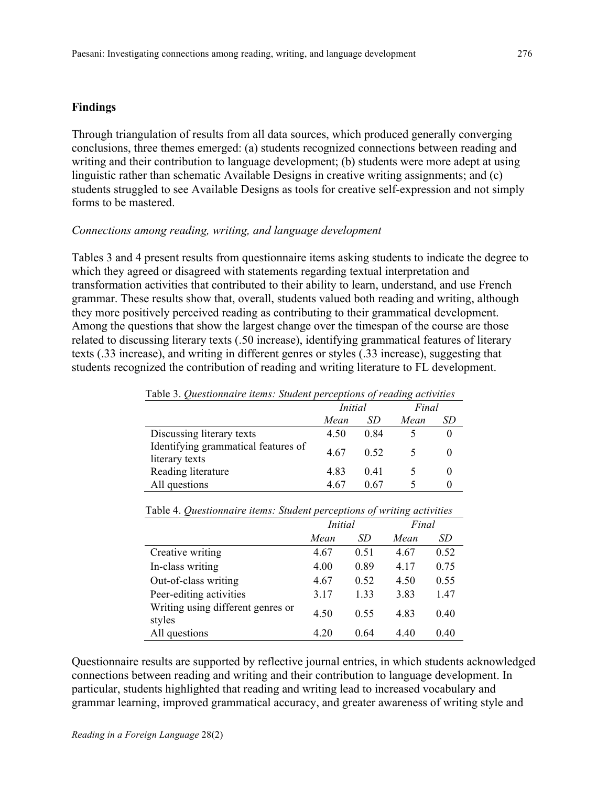### **Findings**

Through triangulation of results from all data sources, which produced generally converging conclusions, three themes emerged: (a) students recognized connections between reading and writing and their contribution to language development; (b) students were more adept at using linguistic rather than schematic Available Designs in creative writing assignments; and (c) students struggled to see Available Designs as tools for creative self-expression and not simply forms to be mastered.

### *Connections among reading, writing, and language development*

Tables 3 and 4 present results from questionnaire items asking students to indicate the degree to which they agreed or disagreed with statements regarding textual interpretation and transformation activities that contributed to their ability to learn, understand, and use French grammar. These results show that, overall, students valued both reading and writing, although they more positively perceived reading as contributing to their grammatical development. Among the questions that show the largest change over the timespan of the course are those related to discussing literary texts (.50 increase), identifying grammatical features of literary texts (.33 increase), and writing in different genres or styles (.33 increase), suggesting that students recognized the contribution of reading and writing literature to FL development.

| Table 3. Questionnaire items: Student perceptions of reading activities |                |      |       |    |  |  |  |
|-------------------------------------------------------------------------|----------------|------|-------|----|--|--|--|
|                                                                         | <i>Initial</i> |      | Final |    |  |  |  |
|                                                                         | Mean           | SD   | Mean  | SD |  |  |  |
| Discussing literary texts                                               | 4.50           | 0.84 |       |    |  |  |  |
| Identifying grammatical features of<br>literary texts                   | 4.67           | 0.52 |       |    |  |  |  |
| Reading literature                                                      | 483            | 0.41 |       |    |  |  |  |
| All questions                                                           | 4.67           | 0.67 |       |    |  |  |  |

Table 3. *Questionnaire items: Student perceptions of reading activities*

|                                             | <i>Initial</i> |      | Final |      |
|---------------------------------------------|----------------|------|-------|------|
|                                             | Mean           | SD   | Mean  | SD   |
| Creative writing                            | 4.67           | 0.51 | 4.67  | 0.52 |
| In-class writing                            | 4.00           | 0.89 | 4.17  | 0.75 |
| Out-of-class writing                        | 4.67           | 0.52 | 4.50  | 0.55 |
| Peer-editing activities                     | 3.17           | 1.33 | 3.83  | 1.47 |
| Writing using different genres or<br>styles | 4.50           | 0.55 | 4.83  | 0.40 |
| All questions                               | 4.20           | 0.64 | 4.40  | 0.40 |

Table 4. *Questionnaire items: Student perceptions of writing activities*

Questionnaire results are supported by reflective journal entries, in which students acknowledged connections between reading and writing and their contribution to language development. In particular, students highlighted that reading and writing lead to increased vocabulary and grammar learning, improved grammatical accuracy, and greater awareness of writing style and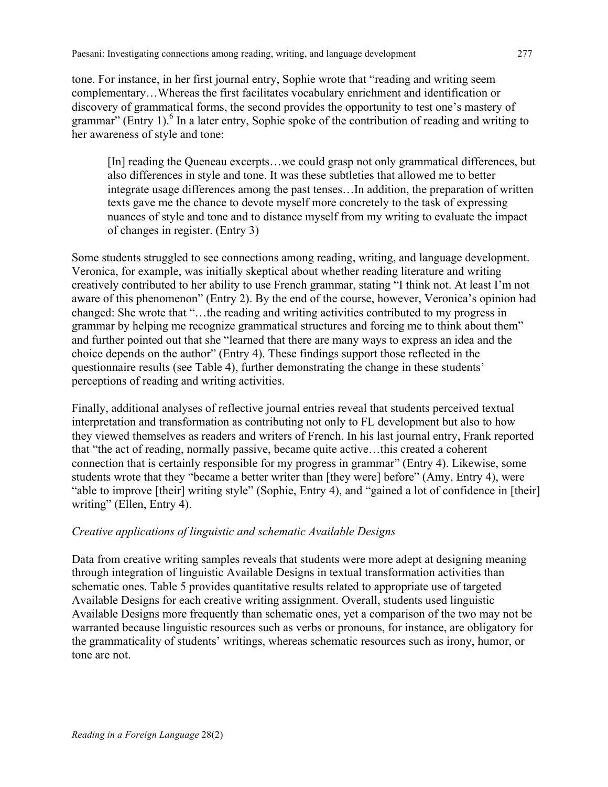tone. For instance, in her first journal entry, Sophie wrote that "reading and writing seem complementary…Whereas the first facilitates vocabulary enrichment and identification or discovery of grammatical forms, the second provides the opportunity to test one's mastery of grammar" (Entry 1). $^{6}$  In a later entry, Sophie spoke of the contribution of reading and writing to her awareness of style and tone:

[In] reading the Queneau excerpts…we could grasp not only grammatical differences, but also differences in style and tone. It was these subtleties that allowed me to better integrate usage differences among the past tenses…In addition, the preparation of written texts gave me the chance to devote myself more concretely to the task of expressing nuances of style and tone and to distance myself from my writing to evaluate the impact of changes in register. (Entry 3)

Some students struggled to see connections among reading, writing, and language development. Veronica, for example, was initially skeptical about whether reading literature and writing creatively contributed to her ability to use French grammar, stating "I think not. At least I'm not aware of this phenomenon" (Entry 2). By the end of the course, however, Veronica's opinion had changed: She wrote that "…the reading and writing activities contributed to my progress in grammar by helping me recognize grammatical structures and forcing me to think about them" and further pointed out that she "learned that there are many ways to express an idea and the choice depends on the author" (Entry 4). These findings support those reflected in the questionnaire results (see Table 4), further demonstrating the change in these students' perceptions of reading and writing activities.

Finally, additional analyses of reflective journal entries reveal that students perceived textual interpretation and transformation as contributing not only to FL development but also to how they viewed themselves as readers and writers of French. In his last journal entry, Frank reported that "the act of reading, normally passive, became quite active…this created a coherent connection that is certainly responsible for my progress in grammar" (Entry 4). Likewise, some students wrote that they "became a better writer than [they were] before" (Amy, Entry 4), were "able to improve [their] writing style" (Sophie, Entry 4), and "gained a lot of confidence in [their] writing" (Ellen, Entry 4).

## *Creative applications of linguistic and schematic Available Designs*

Data from creative writing samples reveals that students were more adept at designing meaning through integration of linguistic Available Designs in textual transformation activities than schematic ones. Table 5 provides quantitative results related to appropriate use of targeted Available Designs for each creative writing assignment. Overall, students used linguistic Available Designs more frequently than schematic ones, yet a comparison of the two may not be warranted because linguistic resources such as verbs or pronouns, for instance, are obligatory for the grammaticality of students' writings, whereas schematic resources such as irony, humor, or tone are not.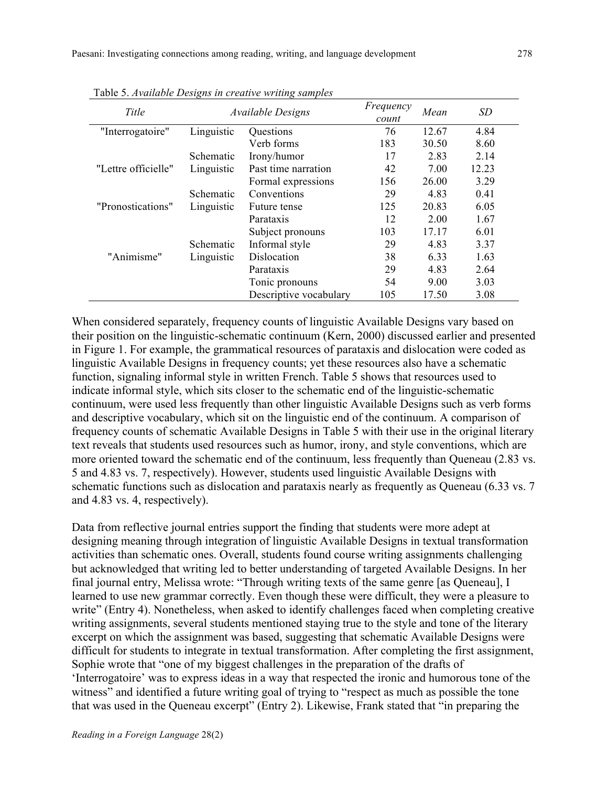| Title               |            | <i><b>Available Designs</b></i> | Frequency<br>count | Mean  | <b>SD</b> |
|---------------------|------------|---------------------------------|--------------------|-------|-----------|
| "Interrogatoire"    | Linguistic | Questions                       | 76                 | 12.67 | 4.84      |
|                     |            | Verb forms                      | 183                | 30.50 | 8.60      |
|                     | Schematic  | Irony/humor                     | 17                 | 2.83  | 2.14      |
| "Lettre officielle" | Linguistic | Past time narration             | 42                 | 7.00  | 12.23     |
|                     |            | Formal expressions              | 156                | 26.00 | 3.29      |
|                     | Schematic  | Conventions                     | 29                 | 4.83  | 0.41      |
| "Pronostications"   | Linguistic | Future tense                    | 125                | 20.83 | 6.05      |
|                     |            | Parataxis                       | 12                 | 2.00  | 1.67      |
|                     |            | Subject pronouns                | 103                | 17.17 | 6.01      |
|                     | Schematic  | Informal style                  | 29                 | 4.83  | 3.37      |
| "Animisme"          | Linguistic | Dislocation                     | 38                 | 6.33  | 1.63      |
|                     |            | Parataxis                       | 29                 | 4.83  | 2.64      |
|                     |            | Tonic pronouns                  | 54                 | 9.00  | 3.03      |
|                     |            | Descriptive vocabulary          | 105                | 17.50 | 3.08      |

Table 5. *Available Designs in creative writing samples*

When considered separately, frequency counts of linguistic Available Designs vary based on their position on the linguistic-schematic continuum (Kern, 2000) discussed earlier and presented in Figure 1. For example, the grammatical resources of parataxis and dislocation were coded as linguistic Available Designs in frequency counts; yet these resources also have a schematic function, signaling informal style in written French. Table 5 shows that resources used to indicate informal style, which sits closer to the schematic end of the linguistic-schematic continuum, were used less frequently than other linguistic Available Designs such as verb forms and descriptive vocabulary, which sit on the linguistic end of the continuum. A comparison of frequency counts of schematic Available Designs in Table 5 with their use in the original literary text reveals that students used resources such as humor, irony, and style conventions, which are more oriented toward the schematic end of the continuum, less frequently than Queneau (2.83 vs. 5 and 4.83 vs. 7, respectively). However, students used linguistic Available Designs with schematic functions such as dislocation and parataxis nearly as frequently as Queneau (6.33 vs. 7) and 4.83 vs. 4, respectively).

Data from reflective journal entries support the finding that students were more adept at designing meaning through integration of linguistic Available Designs in textual transformation activities than schematic ones. Overall, students found course writing assignments challenging but acknowledged that writing led to better understanding of targeted Available Designs. In her final journal entry, Melissa wrote: "Through writing texts of the same genre [as Queneau], I learned to use new grammar correctly. Even though these were difficult, they were a pleasure to write" (Entry 4). Nonetheless, when asked to identify challenges faced when completing creative writing assignments, several students mentioned staying true to the style and tone of the literary excerpt on which the assignment was based, suggesting that schematic Available Designs were difficult for students to integrate in textual transformation. After completing the first assignment, Sophie wrote that "one of my biggest challenges in the preparation of the drafts of 'Interrogatoire' was to express ideas in a way that respected the ironic and humorous tone of the witness" and identified a future writing goal of trying to "respect as much as possible the tone that was used in the Queneau excerpt" (Entry 2). Likewise, Frank stated that "in preparing the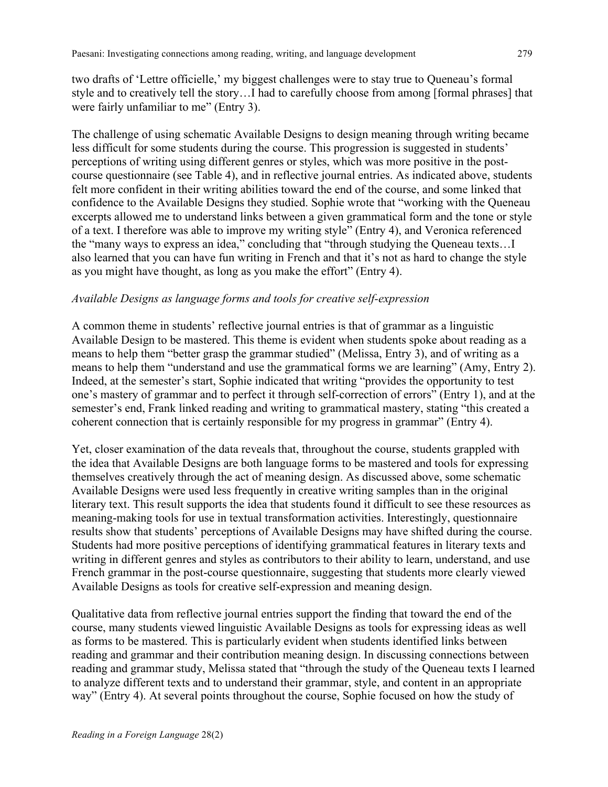two drafts of 'Lettre officielle,' my biggest challenges were to stay true to Queneau's formal style and to creatively tell the story…I had to carefully choose from among [formal phrases] that were fairly unfamiliar to me" (Entry 3).

The challenge of using schematic Available Designs to design meaning through writing became less difficult for some students during the course. This progression is suggested in students' perceptions of writing using different genres or styles, which was more positive in the postcourse questionnaire (see Table 4), and in reflective journal entries. As indicated above, students felt more confident in their writing abilities toward the end of the course, and some linked that confidence to the Available Designs they studied. Sophie wrote that "working with the Queneau excerpts allowed me to understand links between a given grammatical form and the tone or style of a text. I therefore was able to improve my writing style" (Entry 4), and Veronica referenced the "many ways to express an idea," concluding that "through studying the Queneau texts…I also learned that you can have fun writing in French and that it's not as hard to change the style as you might have thought, as long as you make the effort" (Entry 4).

### *Available Designs as language forms and tools for creative self-expression*

A common theme in students' reflective journal entries is that of grammar as a linguistic Available Design to be mastered. This theme is evident when students spoke about reading as a means to help them "better grasp the grammar studied" (Melissa, Entry 3), and of writing as a means to help them "understand and use the grammatical forms we are learning" (Amy, Entry 2). Indeed, at the semester's start, Sophie indicated that writing "provides the opportunity to test one's mastery of grammar and to perfect it through self-correction of errors" (Entry 1), and at the semester's end, Frank linked reading and writing to grammatical mastery, stating "this created a coherent connection that is certainly responsible for my progress in grammar" (Entry 4).

Yet, closer examination of the data reveals that, throughout the course, students grappled with the idea that Available Designs are both language forms to be mastered and tools for expressing themselves creatively through the act of meaning design. As discussed above, some schematic Available Designs were used less frequently in creative writing samples than in the original literary text. This result supports the idea that students found it difficult to see these resources as meaning-making tools for use in textual transformation activities. Interestingly, questionnaire results show that students' perceptions of Available Designs may have shifted during the course. Students had more positive perceptions of identifying grammatical features in literary texts and writing in different genres and styles as contributors to their ability to learn, understand, and use French grammar in the post-course questionnaire, suggesting that students more clearly viewed Available Designs as tools for creative self-expression and meaning design.

Qualitative data from reflective journal entries support the finding that toward the end of the course, many students viewed linguistic Available Designs as tools for expressing ideas as well as forms to be mastered. This is particularly evident when students identified links between reading and grammar and their contribution meaning design. In discussing connections between reading and grammar study, Melissa stated that "through the study of the Queneau texts I learned to analyze different texts and to understand their grammar, style, and content in an appropriate way" (Entry 4). At several points throughout the course, Sophie focused on how the study of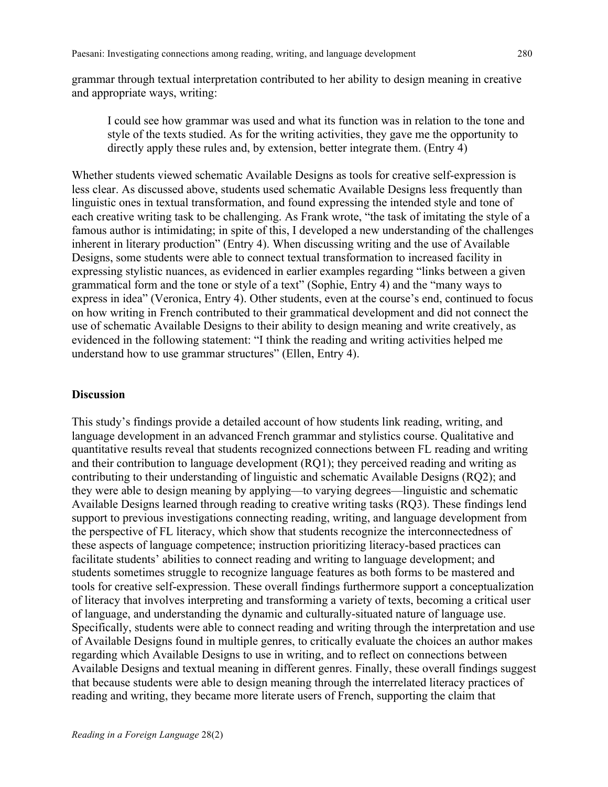grammar through textual interpretation contributed to her ability to design meaning in creative and appropriate ways, writing:

I could see how grammar was used and what its function was in relation to the tone and style of the texts studied. As for the writing activities, they gave me the opportunity to directly apply these rules and, by extension, better integrate them. (Entry 4)

Whether students viewed schematic Available Designs as tools for creative self-expression is less clear. As discussed above, students used schematic Available Designs less frequently than linguistic ones in textual transformation, and found expressing the intended style and tone of each creative writing task to be challenging. As Frank wrote, "the task of imitating the style of a famous author is intimidating; in spite of this, I developed a new understanding of the challenges inherent in literary production" (Entry 4). When discussing writing and the use of Available Designs, some students were able to connect textual transformation to increased facility in expressing stylistic nuances, as evidenced in earlier examples regarding "links between a given grammatical form and the tone or style of a text" (Sophie, Entry 4) and the "many ways to express in idea" (Veronica, Entry 4). Other students, even at the course's end, continued to focus on how writing in French contributed to their grammatical development and did not connect the use of schematic Available Designs to their ability to design meaning and write creatively, as evidenced in the following statement: "I think the reading and writing activities helped me understand how to use grammar structures" (Ellen, Entry 4).

### **Discussion**

This study's findings provide a detailed account of how students link reading, writing, and language development in an advanced French grammar and stylistics course. Qualitative and quantitative results reveal that students recognized connections between FL reading and writing and their contribution to language development (RQ1); they perceived reading and writing as contributing to their understanding of linguistic and schematic Available Designs (RQ2); and they were able to design meaning by applying—to varying degrees—linguistic and schematic Available Designs learned through reading to creative writing tasks (RQ3). These findings lend support to previous investigations connecting reading, writing, and language development from the perspective of FL literacy, which show that students recognize the interconnectedness of these aspects of language competence; instruction prioritizing literacy-based practices can facilitate students' abilities to connect reading and writing to language development; and students sometimes struggle to recognize language features as both forms to be mastered and tools for creative self-expression. These overall findings furthermore support a conceptualization of literacy that involves interpreting and transforming a variety of texts, becoming a critical user of language, and understanding the dynamic and culturally-situated nature of language use. Specifically, students were able to connect reading and writing through the interpretation and use of Available Designs found in multiple genres, to critically evaluate the choices an author makes regarding which Available Designs to use in writing, and to reflect on connections between Available Designs and textual meaning in different genres. Finally, these overall findings suggest that because students were able to design meaning through the interrelated literacy practices of reading and writing, they became more literate users of French, supporting the claim that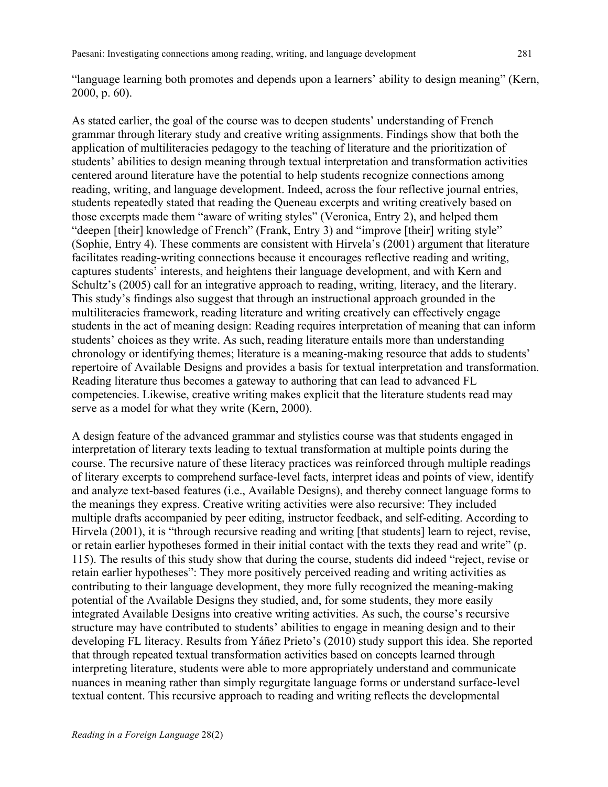"language learning both promotes and depends upon a learners' ability to design meaning" (Kern, 2000, p. 60).

As stated earlier, the goal of the course was to deepen students' understanding of French grammar through literary study and creative writing assignments. Findings show that both the application of multiliteracies pedagogy to the teaching of literature and the prioritization of students' abilities to design meaning through textual interpretation and transformation activities centered around literature have the potential to help students recognize connections among reading, writing, and language development. Indeed, across the four reflective journal entries, students repeatedly stated that reading the Queneau excerpts and writing creatively based on those excerpts made them "aware of writing styles" (Veronica, Entry 2), and helped them "deepen [their] knowledge of French" (Frank, Entry 3) and "improve [their] writing style" (Sophie, Entry 4). These comments are consistent with Hirvela's (2001) argument that literature facilitates reading-writing connections because it encourages reflective reading and writing, captures students' interests, and heightens their language development, and with Kern and Schultz's (2005) call for an integrative approach to reading, writing, literacy, and the literary. This study's findings also suggest that through an instructional approach grounded in the multiliteracies framework, reading literature and writing creatively can effectively engage students in the act of meaning design: Reading requires interpretation of meaning that can inform students' choices as they write. As such, reading literature entails more than understanding chronology or identifying themes; literature is a meaning-making resource that adds to students' repertoire of Available Designs and provides a basis for textual interpretation and transformation. Reading literature thus becomes a gateway to authoring that can lead to advanced FL competencies. Likewise, creative writing makes explicit that the literature students read may serve as a model for what they write (Kern, 2000).

A design feature of the advanced grammar and stylistics course was that students engaged in interpretation of literary texts leading to textual transformation at multiple points during the course. The recursive nature of these literacy practices was reinforced through multiple readings of literary excerpts to comprehend surface-level facts, interpret ideas and points of view, identify and analyze text-based features (i.e., Available Designs), and thereby connect language forms to the meanings they express. Creative writing activities were also recursive: They included multiple drafts accompanied by peer editing, instructor feedback, and self-editing. According to Hirvela (2001), it is "through recursive reading and writing [that students] learn to reject, revise, or retain earlier hypotheses formed in their initial contact with the texts they read and write" (p. 115). The results of this study show that during the course, students did indeed "reject, revise or retain earlier hypotheses": They more positively perceived reading and writing activities as contributing to their language development, they more fully recognized the meaning-making potential of the Available Designs they studied, and, for some students, they more easily integrated Available Designs into creative writing activities. As such, the course's recursive structure may have contributed to students' abilities to engage in meaning design and to their developing FL literacy. Results from Yáñez Prieto's (2010) study support this idea. She reported that through repeated textual transformation activities based on concepts learned through interpreting literature, students were able to more appropriately understand and communicate nuances in meaning rather than simply regurgitate language forms or understand surface-level textual content. This recursive approach to reading and writing reflects the developmental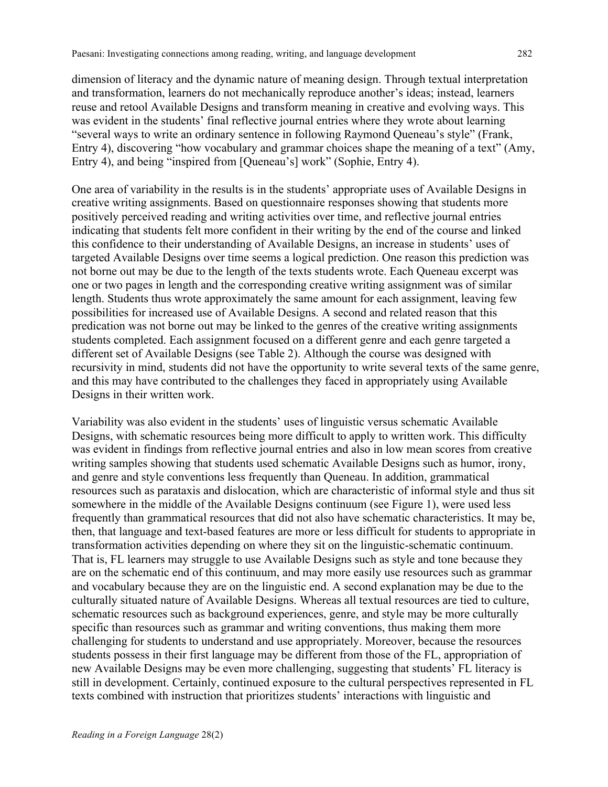dimension of literacy and the dynamic nature of meaning design. Through textual interpretation and transformation, learners do not mechanically reproduce another's ideas; instead, learners reuse and retool Available Designs and transform meaning in creative and evolving ways. This was evident in the students' final reflective journal entries where they wrote about learning "several ways to write an ordinary sentence in following Raymond Queneau's style" (Frank, Entry 4), discovering "how vocabulary and grammar choices shape the meaning of a text" (Amy, Entry 4), and being "inspired from [Queneau's] work" (Sophie, Entry 4).

One area of variability in the results is in the students' appropriate uses of Available Designs in creative writing assignments. Based on questionnaire responses showing that students more positively perceived reading and writing activities over time, and reflective journal entries indicating that students felt more confident in their writing by the end of the course and linked this confidence to their understanding of Available Designs, an increase in students' uses of targeted Available Designs over time seems a logical prediction. One reason this prediction was not borne out may be due to the length of the texts students wrote. Each Queneau excerpt was one or two pages in length and the corresponding creative writing assignment was of similar length. Students thus wrote approximately the same amount for each assignment, leaving few possibilities for increased use of Available Designs. A second and related reason that this predication was not borne out may be linked to the genres of the creative writing assignments students completed. Each assignment focused on a different genre and each genre targeted a different set of Available Designs (see Table 2). Although the course was designed with recursivity in mind, students did not have the opportunity to write several texts of the same genre, and this may have contributed to the challenges they faced in appropriately using Available Designs in their written work.

Variability was also evident in the students' uses of linguistic versus schematic Available Designs, with schematic resources being more difficult to apply to written work. This difficulty was evident in findings from reflective journal entries and also in low mean scores from creative writing samples showing that students used schematic Available Designs such as humor, irony, and genre and style conventions less frequently than Queneau. In addition, grammatical resources such as parataxis and dislocation, which are characteristic of informal style and thus sit somewhere in the middle of the Available Designs continuum (see Figure 1), were used less frequently than grammatical resources that did not also have schematic characteristics. It may be, then, that language and text-based features are more or less difficult for students to appropriate in transformation activities depending on where they sit on the linguistic-schematic continuum. That is, FL learners may struggle to use Available Designs such as style and tone because they are on the schematic end of this continuum, and may more easily use resources such as grammar and vocabulary because they are on the linguistic end. A second explanation may be due to the culturally situated nature of Available Designs. Whereas all textual resources are tied to culture, schematic resources such as background experiences, genre, and style may be more culturally specific than resources such as grammar and writing conventions, thus making them more challenging for students to understand and use appropriately. Moreover, because the resources students possess in their first language may be different from those of the FL, appropriation of new Available Designs may be even more challenging, suggesting that students' FL literacy is still in development. Certainly, continued exposure to the cultural perspectives represented in FL texts combined with instruction that prioritizes students' interactions with linguistic and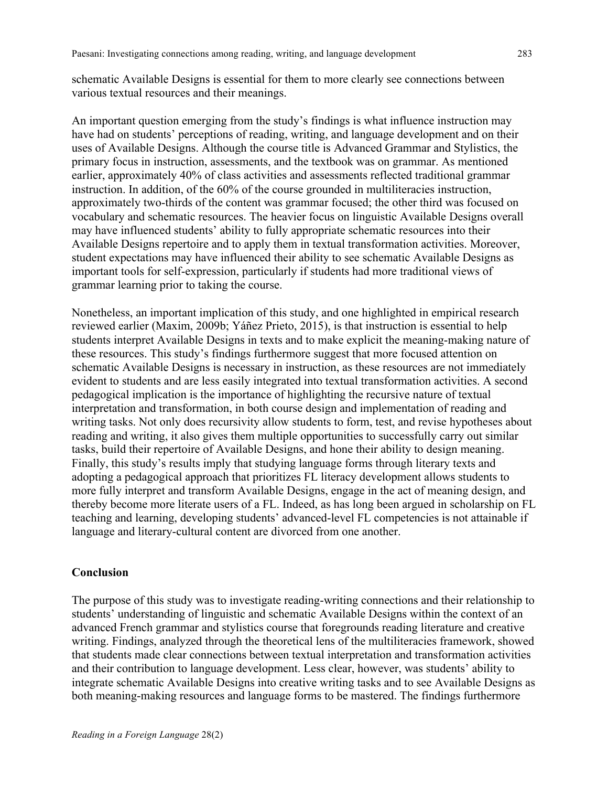schematic Available Designs is essential for them to more clearly see connections between various textual resources and their meanings.

An important question emerging from the study's findings is what influence instruction may have had on students' perceptions of reading, writing, and language development and on their uses of Available Designs. Although the course title is Advanced Grammar and Stylistics, the primary focus in instruction, assessments, and the textbook was on grammar. As mentioned earlier, approximately 40% of class activities and assessments reflected traditional grammar instruction. In addition, of the 60% of the course grounded in multiliteracies instruction, approximately two-thirds of the content was grammar focused; the other third was focused on vocabulary and schematic resources. The heavier focus on linguistic Available Designs overall may have influenced students' ability to fully appropriate schematic resources into their Available Designs repertoire and to apply them in textual transformation activities. Moreover, student expectations may have influenced their ability to see schematic Available Designs as important tools for self-expression, particularly if students had more traditional views of grammar learning prior to taking the course.

Nonetheless, an important implication of this study, and one highlighted in empirical research reviewed earlier (Maxim, 2009b; Yáñez Prieto, 2015), is that instruction is essential to help students interpret Available Designs in texts and to make explicit the meaning-making nature of these resources. This study's findings furthermore suggest that more focused attention on schematic Available Designs is necessary in instruction, as these resources are not immediately evident to students and are less easily integrated into textual transformation activities. A second pedagogical implication is the importance of highlighting the recursive nature of textual interpretation and transformation, in both course design and implementation of reading and writing tasks. Not only does recursivity allow students to form, test, and revise hypotheses about reading and writing, it also gives them multiple opportunities to successfully carry out similar tasks, build their repertoire of Available Designs, and hone their ability to design meaning. Finally, this study's results imply that studying language forms through literary texts and adopting a pedagogical approach that prioritizes FL literacy development allows students to more fully interpret and transform Available Designs, engage in the act of meaning design, and thereby become more literate users of a FL. Indeed, as has long been argued in scholarship on FL teaching and learning, developing students' advanced-level FL competencies is not attainable if language and literary-cultural content are divorced from one another.

## **Conclusion**

The purpose of this study was to investigate reading-writing connections and their relationship to students' understanding of linguistic and schematic Available Designs within the context of an advanced French grammar and stylistics course that foregrounds reading literature and creative writing. Findings, analyzed through the theoretical lens of the multiliteracies framework, showed that students made clear connections between textual interpretation and transformation activities and their contribution to language development. Less clear, however, was students' ability to integrate schematic Available Designs into creative writing tasks and to see Available Designs as both meaning-making resources and language forms to be mastered. The findings furthermore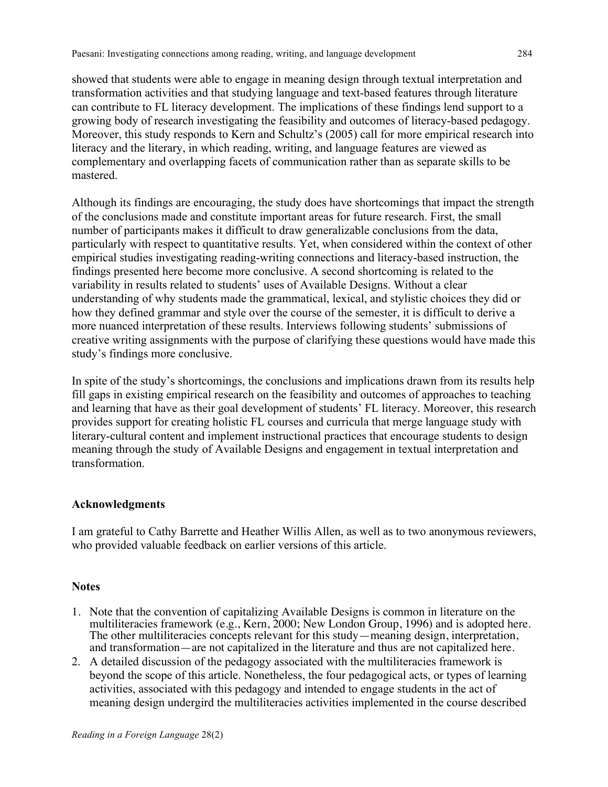showed that students were able to engage in meaning design through textual interpretation and transformation activities and that studying language and text-based features through literature can contribute to FL literacy development. The implications of these findings lend support to a growing body of research investigating the feasibility and outcomes of literacy-based pedagogy. Moreover, this study responds to Kern and Schultz's (2005) call for more empirical research into literacy and the literary, in which reading, writing, and language features are viewed as complementary and overlapping facets of communication rather than as separate skills to be mastered.

Although its findings are encouraging, the study does have shortcomings that impact the strength of the conclusions made and constitute important areas for future research. First, the small number of participants makes it difficult to draw generalizable conclusions from the data, particularly with respect to quantitative results. Yet, when considered within the context of other empirical studies investigating reading-writing connections and literacy-based instruction, the findings presented here become more conclusive. A second shortcoming is related to the variability in results related to students' uses of Available Designs. Without a clear understanding of why students made the grammatical, lexical, and stylistic choices they did or how they defined grammar and style over the course of the semester, it is difficult to derive a more nuanced interpretation of these results. Interviews following students' submissions of creative writing assignments with the purpose of clarifying these questions would have made this study's findings more conclusive.

In spite of the study's shortcomings, the conclusions and implications drawn from its results help fill gaps in existing empirical research on the feasibility and outcomes of approaches to teaching and learning that have as their goal development of students' FL literacy. Moreover, this research provides support for creating holistic FL courses and curricula that merge language study with literary-cultural content and implement instructional practices that encourage students to design meaning through the study of Available Designs and engagement in textual interpretation and transformation.

## **Acknowledgments**

I am grateful to Cathy Barrette and Heather Willis Allen, as well as to two anonymous reviewers, who provided valuable feedback on earlier versions of this article.

### **Notes**

- 1. Note that the convention of capitalizing Available Designs is common in literature on the multiliteracies framework (e.g., Kern, 2000; New London Group, 1996) and is adopted here. The other multiliteracies concepts relevant for this study—meaning design, interpretation, and transformation—are not capitalized in the literature and thus are not capitalized here.
- 2. A detailed discussion of the pedagogy associated with the multiliteracies framework is beyond the scope of this article. Nonetheless, the four pedagogical acts, or types of learning activities, associated with this pedagogy and intended to engage students in the act of meaning design undergird the multiliteracies activities implemented in the course described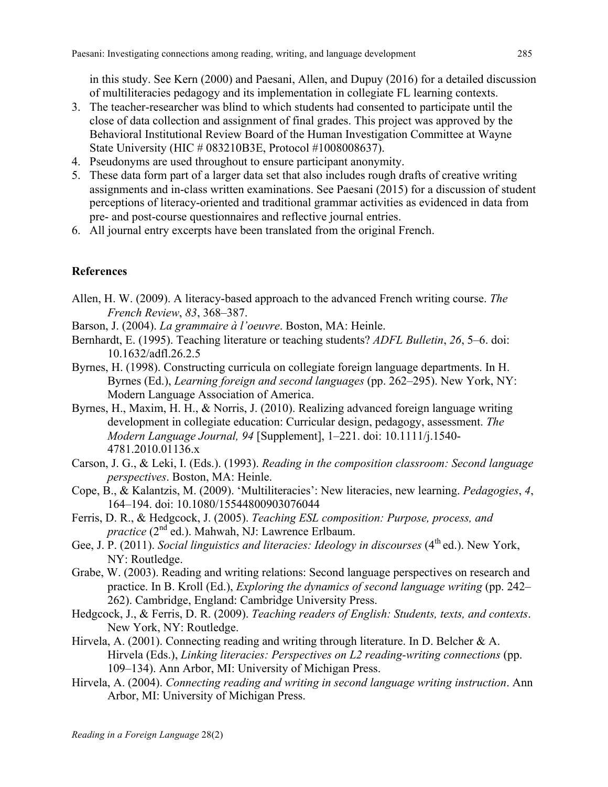in this study. See Kern (2000) and Paesani, Allen, and Dupuy (2016) for a detailed discussion of multiliteracies pedagogy and its implementation in collegiate FL learning contexts.

- 3. The teacher-researcher was blind to which students had consented to participate until the close of data collection and assignment of final grades. This project was approved by the Behavioral Institutional Review Board of the Human Investigation Committee at Wayne State University (HIC # 083210B3E, Protocol #1008008637).
- 4. Pseudonyms are used throughout to ensure participant anonymity.
- 5. These data form part of a larger data set that also includes rough drafts of creative writing assignments and in-class written examinations. See Paesani (2015) for a discussion of student perceptions of literacy-oriented and traditional grammar activities as evidenced in data from pre- and post-course questionnaires and reflective journal entries.
- 6. All journal entry excerpts have been translated from the original French.

# **References**

- Allen, H. W. (2009). A literacy-based approach to the advanced French writing course. *The French Review*, *83*, 368–387.
- Barson, J. (2004). *La grammaire à l'oeuvre*. Boston, MA: Heinle.
- Bernhardt, E. (1995). Teaching literature or teaching students? *ADFL Bulletin*, *26*, 5–6. doi: 10.1632/adfl.26.2.5
- Byrnes, H. (1998). Constructing curricula on collegiate foreign language departments. In H. Byrnes (Ed.), *Learning foreign and second languages* (pp. 262–295). New York, NY: Modern Language Association of America.
- Byrnes, H., Maxim, H. H., & Norris, J. (2010). Realizing advanced foreign language writing development in collegiate education: Curricular design, pedagogy, assessment. *The Modern Language Journal, 94* [Supplement], 1–221. doi: 10.1111/j.1540- 4781.2010.01136.x
- Carson, J. G., & Leki, I. (Eds.). (1993). *Reading in the composition classroom: Second language perspectives*. Boston, MA: Heinle.
- Cope, B., & Kalantzis, M. (2009). 'Multiliteracies': New literacies, new learning. *Pedagogies*, *4*, 164–194. doi: 10.1080/15544800903076044
- Ferris, D. R., & Hedgcock, J. (2005). *Teaching ESL composition: Purpose, process, and practice* (2<sup>nd</sup> ed.). Mahwah, NJ: Lawrence Erlbaum.
- Gee, J. P. (2011). *Social linguistics and literacies: Ideology in discourses* (4<sup>th</sup> ed.). New York, NY: Routledge.
- Grabe, W. (2003). Reading and writing relations: Second language perspectives on research and practice. In B. Kroll (Ed.), *Exploring the dynamics of second language writing* (pp. 242– 262). Cambridge, England: Cambridge University Press.
- Hedgcock, J., & Ferris, D. R. (2009). *Teaching readers of English: Students, texts, and contexts*. New York, NY: Routledge.
- Hirvela, A. (2001). Connecting reading and writing through literature. In D. Belcher & A. Hirvela (Eds.), *Linking literacies: Perspectives on L2 reading-writing connections* (pp. 109–134). Ann Arbor, MI: University of Michigan Press.
- Hirvela, A. (2004). *Connecting reading and writing in second language writing instruction*. Ann Arbor, MI: University of Michigan Press.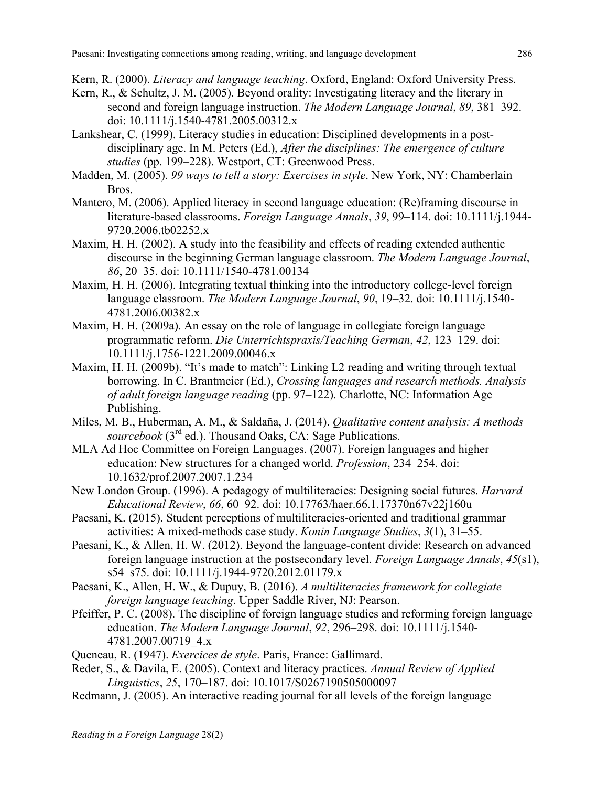Kern, R. (2000). *Literacy and language teaching*. Oxford, England: Oxford University Press.

- Kern, R., & Schultz, J. M. (2005). Beyond orality: Investigating literacy and the literary in second and foreign language instruction. *The Modern Language Journal*, *89*, 381–392. doi: 10.1111/j.1540-4781.2005.00312.x
- Lankshear, C. (1999). Literacy studies in education: Disciplined developments in a postdisciplinary age. In M. Peters (Ed.), *After the disciplines: The emergence of culture studies* (pp. 199–228). Westport, CT: Greenwood Press.
- Madden, M. (2005). *99 ways to tell a story: Exercises in style*. New York, NY: Chamberlain Bros.
- Mantero, M. (2006). Applied literacy in second language education: (Re)framing discourse in literature-based classrooms. *Foreign Language Annals*, *39*, 99–114. doi: 10.1111/j.1944- 9720.2006.tb02252.x
- Maxim, H. H. (2002). A study into the feasibility and effects of reading extended authentic discourse in the beginning German language classroom. *The Modern Language Journal*, *86*, 20–35. doi: 10.1111/1540-4781.00134
- Maxim, H. H. (2006). Integrating textual thinking into the introductory college-level foreign language classroom. *The Modern Language Journal*, *90*, 19–32. doi: 10.1111/j.1540- 4781.2006.00382.x
- Maxim, H. H. (2009a). An essay on the role of language in collegiate foreign language programmatic reform. *Die Unterrichtspraxis/Teaching German*, *42*, 123–129. doi: 10.1111/j.1756-1221.2009.00046.x
- Maxim, H. H. (2009b). "It's made to match": Linking L2 reading and writing through textual borrowing. In C. Brantmeier (Ed.), *Crossing languages and research methods. Analysis of adult foreign language reading* (pp. 97–122). Charlotte, NC: Information Age Publishing.
- Miles, M. B., Huberman, A. M., & Saldaña, J. (2014). *Qualitative content analysis: A methods sourcebook* (3rd ed.). Thousand Oaks, CA: Sage Publications.
- MLA Ad Hoc Committee on Foreign Languages. (2007). Foreign languages and higher education: New structures for a changed world. *Profession*, 234–254. doi: 10.1632/prof.2007.2007.1.234
- New London Group. (1996). A pedagogy of multiliteracies: Designing social futures. *Harvard Educational Review*, *66*, 60–92. doi: 10.17763/haer.66.1.17370n67v22j160u
- Paesani, K. (2015). Student perceptions of multiliteracies-oriented and traditional grammar activities: A mixed-methods case study. *Konin Language Studies*, *3*(1), 31–55.
- Paesani, K., & Allen, H. W. (2012). Beyond the language-content divide: Research on advanced foreign language instruction at the postsecondary level. *Foreign Language Annals*, *45*(s1), s54–s75. doi: 10.1111/j.1944-9720.2012.01179.x
- Paesani, K., Allen, H. W., & Dupuy, B. (2016). *A multiliteracies framework for collegiate foreign language teaching*. Upper Saddle River, NJ: Pearson.
- Pfeiffer, P. C. (2008). The discipline of foreign language studies and reforming foreign language education. *The Modern Language Journal*, *92*, 296–298. doi: 10.1111/j.1540- 4781.2007.00719\_4.x
- Queneau, R. (1947). *Exercices de style*. Paris, France: Gallimard.
- Reder, S., & Davila, E. (2005). Context and literacy practices. *Annual Review of Applied Linguistics*, *25*, 170–187. doi: 10.1017/S0267190505000097
- Redmann, J. (2005). An interactive reading journal for all levels of the foreign language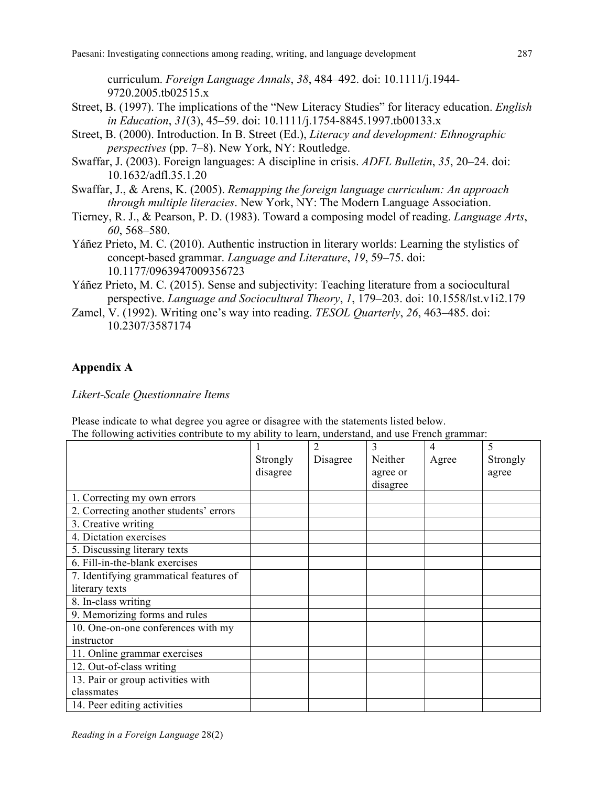curriculum. *Foreign Language Annals*, *38*, 484–492. doi: 10.1111/j.1944- 9720.2005.tb02515.x

- Street, B. (1997). The implications of the "New Literacy Studies" for literacy education. *English in Education*, *31*(3), 45–59. doi: 10.1111/j.1754-8845.1997.tb00133.x
- Street, B. (2000). Introduction. In B. Street (Ed.), *Literacy and development: Ethnographic perspectives* (pp. 7–8). New York, NY: Routledge.
- Swaffar, J. (2003). Foreign languages: A discipline in crisis. *ADFL Bulletin*, *35*, 20–24. doi: 10.1632/adfl.35.1.20
- Swaffar, J., & Arens, K. (2005). *Remapping the foreign language curriculum: An approach through multiple literacies*. New York, NY: The Modern Language Association.
- Tierney, R. J., & Pearson, P. D. (1983). Toward a composing model of reading. *Language Arts*, *60*, 568–580.
- Yáñez Prieto, M. C. (2010). Authentic instruction in literary worlds: Learning the stylistics of concept-based grammar. *Language and Literature*, *19*, 59–75. doi: 10.1177/0963947009356723
- Yáñez Prieto, M. C. (2015). Sense and subjectivity: Teaching literature from a sociocultural perspective. *Language and Sociocultural Theory*, *1*, 179–203. doi: 10.1558/lst.v1i2.179
- Zamel, V. (1992). Writing one's way into reading. *TESOL Quarterly*, *26*, 463–485. doi: 10.2307/3587174

## **Appendix A**

*Likert-Scale Questionnaire Items*

Please indicate to what degree you agree or disagree with the statements listed below. The following activities contribute to my ability to learn, understand, and use French grammar:

|                                        |          | $\overline{c}$ | 3        | $\overline{4}$ | 5        |
|----------------------------------------|----------|----------------|----------|----------------|----------|
|                                        | Strongly | Disagree       | Neither  | Agree          | Strongly |
|                                        | disagree |                | agree or |                | agree    |
|                                        |          |                | disagree |                |          |
| 1. Correcting my own errors            |          |                |          |                |          |
| 2. Correcting another students' errors |          |                |          |                |          |
| 3. Creative writing                    |          |                |          |                |          |
| 4. Dictation exercises                 |          |                |          |                |          |
| 5. Discussing literary texts           |          |                |          |                |          |
| 6. Fill-in-the-blank exercises         |          |                |          |                |          |
| 7. Identifying grammatical features of |          |                |          |                |          |
| literary texts                         |          |                |          |                |          |
| 8. In-class writing                    |          |                |          |                |          |
| 9. Memorizing forms and rules          |          |                |          |                |          |
| 10. One-on-one conferences with my     |          |                |          |                |          |
| instructor                             |          |                |          |                |          |
| 11. Online grammar exercises           |          |                |          |                |          |
| 12. Out-of-class writing               |          |                |          |                |          |
| 13. Pair or group activities with      |          |                |          |                |          |
| classmates                             |          |                |          |                |          |
| 14. Peer editing activities            |          |                |          |                |          |

*Reading in a Foreign Language* 28(2)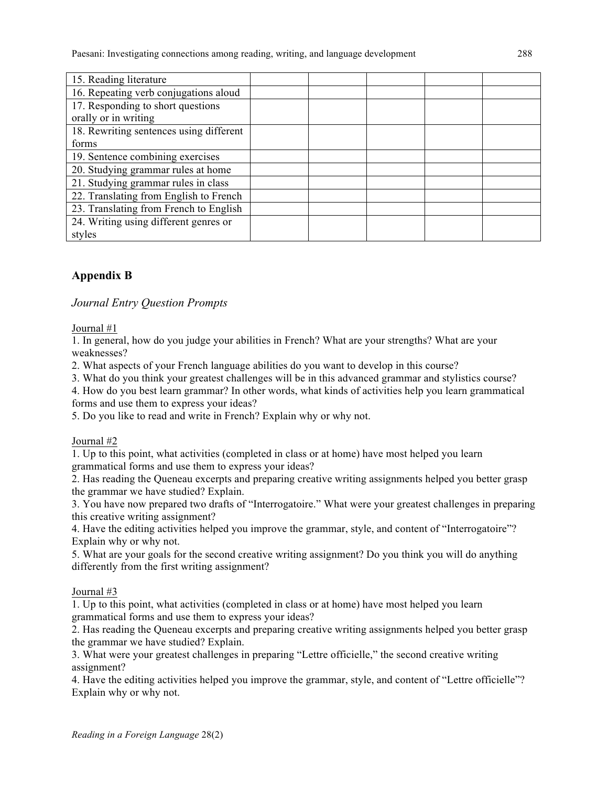| 15. Reading literature                  |  |  |  |
|-----------------------------------------|--|--|--|
| 16. Repeating verb conjugations aloud   |  |  |  |
| 17. Responding to short questions       |  |  |  |
| orally or in writing                    |  |  |  |
| 18. Rewriting sentences using different |  |  |  |
| forms                                   |  |  |  |
| 19. Sentence combining exercises        |  |  |  |
| 20. Studying grammar rules at home      |  |  |  |
| 21. Studying grammar rules in class     |  |  |  |
| 22. Translating from English to French  |  |  |  |
| 23. Translating from French to English  |  |  |  |
| 24. Writing using different genres or   |  |  |  |
| styles                                  |  |  |  |

# **Appendix B**

*Journal Entry Question Prompts*

#### Journal #1

1. In general, how do you judge your abilities in French? What are your strengths? What are your weaknesses?

2. What aspects of your French language abilities do you want to develop in this course?

3. What do you think your greatest challenges will be in this advanced grammar and stylistics course?

4. How do you best learn grammar? In other words, what kinds of activities help you learn grammatical forms and use them to express your ideas?

5. Do you like to read and write in French? Explain why or why not.

### Journal #2

1. Up to this point, what activities (completed in class or at home) have most helped you learn grammatical forms and use them to express your ideas?

2. Has reading the Queneau excerpts and preparing creative writing assignments helped you better grasp the grammar we have studied? Explain.

3. You have now prepared two drafts of "Interrogatoire." What were your greatest challenges in preparing this creative writing assignment?

4. Have the editing activities helped you improve the grammar, style, and content of "Interrogatoire"? Explain why or why not.

5. What are your goals for the second creative writing assignment? Do you think you will do anything differently from the first writing assignment?

### Journal #3

1. Up to this point, what activities (completed in class or at home) have most helped you learn grammatical forms and use them to express your ideas?

2. Has reading the Queneau excerpts and preparing creative writing assignments helped you better grasp the grammar we have studied? Explain.

3. What were your greatest challenges in preparing "Lettre officielle," the second creative writing assignment?

4. Have the editing activities helped you improve the grammar, style, and content of "Lettre officielle"? Explain why or why not.